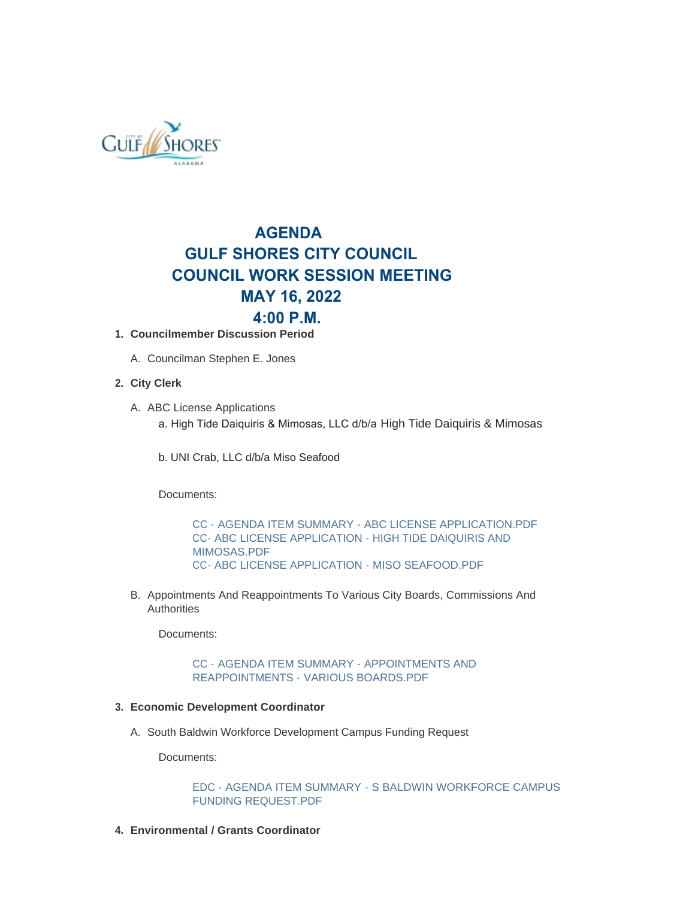

# **AGENDA GULF SHORES CITY COUNCIL COUNCIL WORK SESSION MEETING MAY 16, 2022 4:00 P.M.**

- **Councilmember Discussion Period 1.**
	- A. Councilman Stephen E. Jones

## **City Clerk 2.**

- A. ABC License Applications a. High Tide Daiquiris & Mimosas, LLC d/b/a High Tide Daiquiris & Mimosas
	- b. UNI Crab, LLC d/b/a Miso Seafood

Documents:

[CC - AGENDA ITEM SUMMARY - ABC LICENSE APPLICATION.PDF](https://www.gulfshoresal.gov/AgendaCenter/ViewFile/Item/10208?fileID=22108) [CC- ABC LICENSE APPLICATION - HIGH TIDE DAIQUIRIS AND](https://www.gulfshoresal.gov/AgendaCenter/ViewFile/Item/10208?fileID=22109)  MIMOSAS PDF [CC- ABC LICENSE APPLICATION - MISO SEAFOOD.PDF](https://www.gulfshoresal.gov/AgendaCenter/ViewFile/Item/10208?fileID=22110)

B. Appointments And Reappointments To Various City Boards, Commissions And Authorities

Documents:

[CC - AGENDA ITEM SUMMARY - APPOINTMENTS AND](https://www.gulfshoresal.gov/AgendaCenter/ViewFile/Item/10211?fileID=22112)  REAPPOINTMENTS - VARIOUS BOARDS.PDF

### **Economic Development Coordinator 3.**

A. South Baldwin Workforce Development Campus Funding Request

Documents:

[EDC - AGENDA ITEM SUMMARY - S BALDWIN WORKFORCE CAMPUS](https://www.gulfshoresal.gov/AgendaCenter/ViewFile/Item/10201?fileID=22096)  FUNDING REQUEST.PDF

**Environmental / Grants Coordinator 4.**